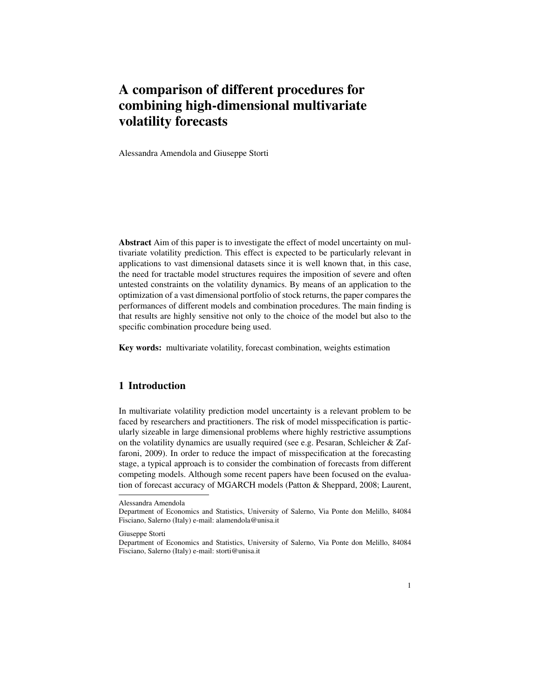# A comparison of different procedures for combining high-dimensional multivariate volatility forecasts

Alessandra Amendola and Giuseppe Storti

Abstract Aim of this paper is to investigate the effect of model uncertainty on multivariate volatility prediction. This effect is expected to be particularly relevant in applications to vast dimensional datasets since it is well known that, in this case, the need for tractable model structures requires the imposition of severe and often untested constraints on the volatility dynamics. By means of an application to the optimization of a vast dimensional portfolio of stock returns, the paper compares the performances of different models and combination procedures. The main finding is that results are highly sensitive not only to the choice of the model but also to the specific combination procedure being used.

Key words: multivariate volatility, forecast combination, weights estimation

## 1 Introduction

In multivariate volatility prediction model uncertainty is a relevant problem to be faced by researchers and practitioners. The risk of model misspecification is particularly sizeable in large dimensional problems where highly restrictive assumptions on the volatility dynamics are usually required (see e.g. Pesaran, Schleicher & Zaffaroni, 2009). In order to reduce the impact of misspecification at the forecasting stage, a typical approach is to consider the combination of forecasts from different competing models. Although some recent papers have been focused on the evaluation of forecast accuracy of MGARCH models (Patton & Sheppard, 2008; Laurent,

Giuseppe Storti

Alessandra Amendola

Department of Economics and Statistics, University of Salerno, Via Ponte don Melillo, 84084 Fisciano, Salerno (Italy) e-mail: alamendola@unisa.it

Department of Economics and Statistics, University of Salerno, Via Ponte don Melillo, 84084 Fisciano, Salerno (Italy) e-mail: storti@unisa.it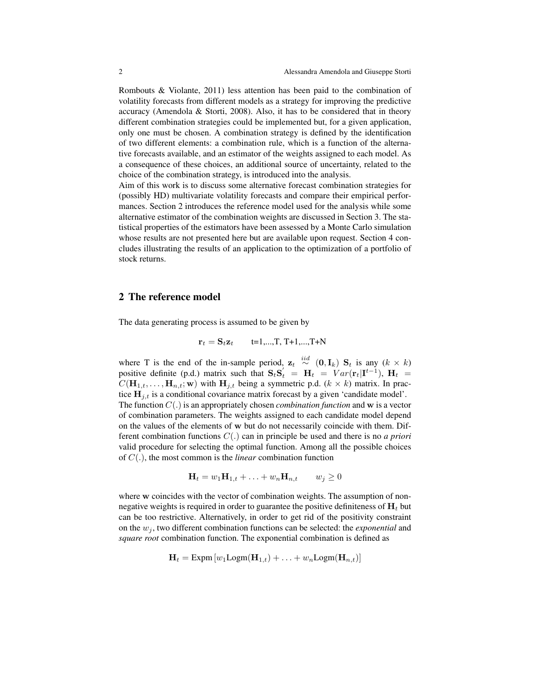Rombouts & Violante, 2011) less attention has been paid to the combination of volatility forecasts from different models as a strategy for improving the predictive accuracy (Amendola & Storti, 2008). Also, it has to be considered that in theory different combination strategies could be implemented but, for a given application, only one must be chosen. A combination strategy is defined by the identification of two different elements: a combination rule, which is a function of the alternative forecasts available, and an estimator of the weights assigned to each model. As a consequence of these choices, an additional source of uncertainty, related to the choice of the combination strategy, is introduced into the analysis.

Aim of this work is to discuss some alternative forecast combination strategies for (possibly HD) multivariate volatility forecasts and compare their empirical performances. Section 2 introduces the reference model used for the analysis while some alternative estimator of the combination weights are discussed in Section 3. The statistical properties of the estimators have been assessed by a Monte Carlo simulation whose results are not presented here but are available upon request. Section 4 concludes illustrating the results of an application to the optimization of a portfolio of stock returns.

## 2 The reference model

The data generating process is assumed to be given by

$$
\mathbf{r}_t = \mathbf{S}_t \mathbf{z}_t \qquad \text{t=1,...,T, T+1,...,T+N}
$$

where T is the end of the in-sample period,  $z_t \stackrel{iid}{\sim} (0, I_k)$  S<sub>t</sub> is any  $(k \times k)$ positive definite (p.d.) matrix such that  $S_t S_t = H_t = Var(r_t|I^{t-1})$ ,  $H_t =$  $C(\mathbf{H}_{1,t}, \ldots, \mathbf{H}_{n,t}; \mathbf{w})$  with  $\mathbf{H}_{j,t}$  being a symmetric p.d.  $(k \times k)$  matrix. In practice  $H_{i,t}$  is a conditional covariance matrix forecast by a given 'candidate model'. The function  $C(.)$  is an appropriately chosen *combination function* and w is a vector of combination parameters. The weights assigned to each candidate model depend on the values of the elements of w but do not necessarily coincide with them. Different combination functions C(.) can in principle be used and there is no *a priori* valid procedure for selecting the optimal function. Among all the possible choices of C(.), the most common is the *linear* combination function

$$
\mathbf{H}_t = w_1 \mathbf{H}_{1,t} + \ldots + w_n \mathbf{H}_{n,t} \qquad w_j \ge 0
$$

where w coincides with the vector of combination weights. The assumption of nonnegative weights is required in order to guarantee the positive definiteness of  $H_t$  but can be too restrictive. Alternatively, in order to get rid of the positivity constraint on the  $w_i$ , two different combination functions can be selected: the *exponential* and *square root* combination function. The exponential combination is defined as

$$
\mathbf{H}_t = \text{Expm} \left[ w_1 \text{Logm}(\mathbf{H}_{1,t}) + \ldots + w_n \text{Logm}(\mathbf{H}_{n,t}) \right]
$$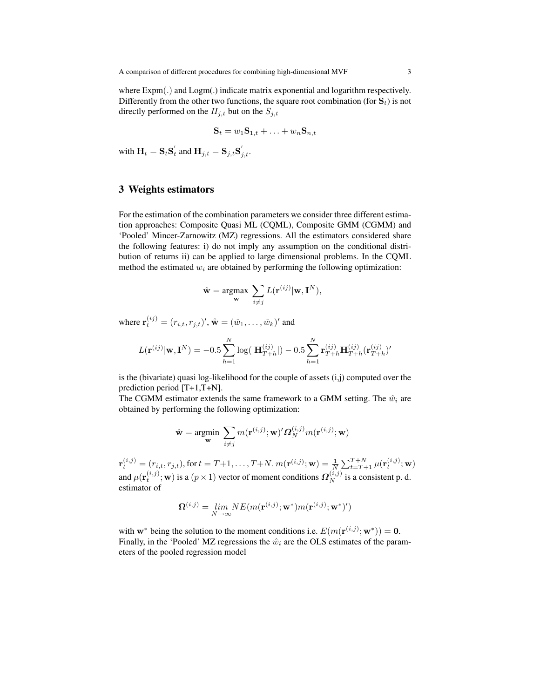where Expm(.) and Logm(.) indicate matrix exponential and logarithm respectively. Differently from the other two functions, the square root combination (for  $S_t$ ) is not directly performed on the  $H_{j,t}$  but on the  $S_{j,t}$ 

$$
\mathbf{S}_t = w_1 \mathbf{S}_{1,t} + \ldots + w_n \mathbf{S}_{n,t}
$$

with  $\mathbf{H}_t = \mathbf{S}_t \mathbf{S}_t'$  and  $\mathbf{H}_{j,t} = \mathbf{S}_{j,t} \mathbf{S}_{j,t}'.$ 

## 3 Weights estimators

For the estimation of the combination parameters we consider three different estimation approaches: Composite Quasi ML (CQML), Composite GMM (CGMM) and 'Pooled' Mincer-Zarnowitz (MZ) regressions. All the estimators considered share the following features: i) do not imply any assumption on the conditional distribution of returns ii) can be applied to large dimensional problems. In the CQML method the estimated  $w_i$  are obtained by performing the following optimization:

$$
\hat{\mathbf{w}} = \underset{\mathbf{w}}{\operatorname{argmax}} \sum_{i \neq j} L(\mathbf{r}^{(ij)} | \mathbf{w}, \mathbf{I}^{N}),
$$

where  $\mathbf{r}_t^{(ij)} = (r_{i,t}, r_{j,t})'$ ,  $\hat{\mathbf{w}} = (\hat{w}_1, \dots, \hat{w}_k)'$  and

$$
L(\mathbf{r}^{(ij)}|\mathbf{w}, \mathbf{I}^{N}) = -0.5 \sum_{h=1}^{N} \log(|\mathbf{H}_{T+h}^{(ij)}|) - 0.5 \sum_{h=1}^{N} \mathbf{r}_{T+h}^{(ij)} \mathbf{H}_{T+h}^{(ij)}(\mathbf{r}_{T+h}^{(ij)})'
$$

is the (bivariate) quasi log-likelihood for the couple of assets (i,j) computed over the prediction period [T+1,T+N].

The CGMM estimator extends the same framework to a GMM setting. The  $\hat{w}_i$  are obtained by performing the following optimization:

$$
\hat{\mathbf{w}} = \underset{\mathbf{w}}{\text{argmin}} \ \sum_{i \neq j} m(\mathbf{r}^{(i,j)}; \mathbf{w})' \boldsymbol{\varOmega}_N^{(i,j)} m(\mathbf{r}^{(i,j)}; \mathbf{w})
$$

 $\mathbf{r}_t^{(i,j)} = (r_{i,t}, r_{j,t}),$  for  $t = T+1, \ldots, T+N$ .  $m(\mathbf{r}^{(i,j)}; \mathbf{w}) = \frac{1}{N} \sum_{t = T+1}^{T+N} \mu(\mathbf{r}_t^{(i,j)}; \mathbf{w})$ and  $\mu(\mathbf{r}_t^{(i,j)}; \mathbf{w})$  is a  $(p \times 1)$  vector of moment conditions  $\boldsymbol{\Omega}_N^{(i,j)}$  is a consistent p. d. estimator of

$$
\mathbf{\Omega}^{(i,j)} = \lim_{N\to\infty} NE(m(\mathbf{r}^{(i,j)};\mathbf{w}^*)m(\mathbf{r}^{(i,j)};\mathbf{w}^*)')
$$

with  $\mathbf{w}^*$  being the solution to the moment conditions i.e.  $E(m(\mathbf{r}^{(i,j)}; \mathbf{w}^*)) = \mathbf{0}$ . Finally, in the 'Pooled' MZ regressions the  $\hat{w}_i$  are the OLS estimates of the parameters of the pooled regression model